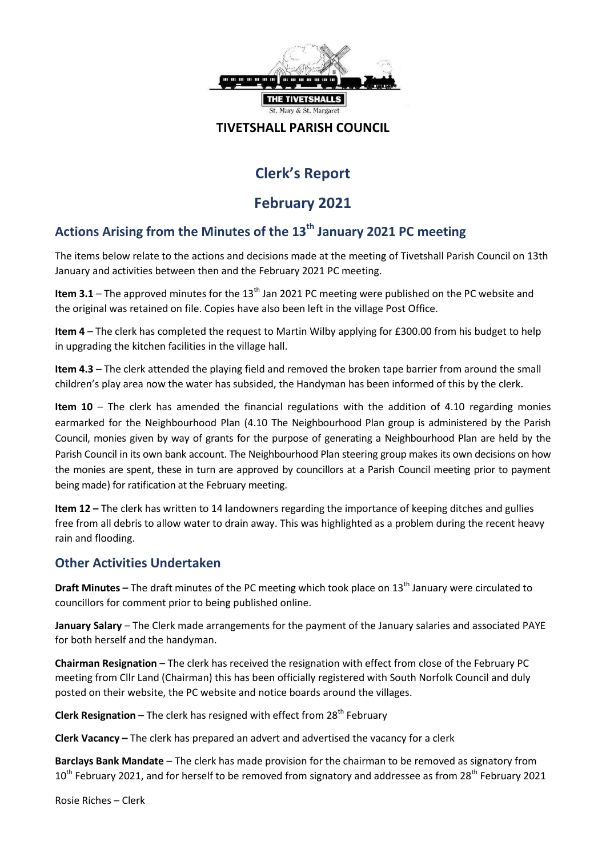

#### **TIVETSHALL PARISH COUNCIL**

# **Clerk's Report**

## **February 2021**

### **Actions Arising from the Minutes of the 13th January 2021 PC meeting**

The items below relate to the actions and decisions made at the meeting of Tivetshall Parish Council on 13th January and activities between then and the February 2021 PC meeting.

**Item 3.1** – The approved minutes for the 13<sup>th</sup> Jan 2021 PC meeting were published on the PC website and the original was retained on file. Copies have also been left in the village Post Office.

**Item 4** – The clerk has completed the request to Martin Wilby applying for £300.00 from his budget to help in upgrading the kitchen facilities in the village hall.

**Item 4.3** – The clerk attended the playing field and removed the broken tape barrier from around the small children's play area now the water has subsided, the Handyman has been informed of this by the clerk.

**Item 10** – The clerk has amended the financial regulations with the addition of 4.10 regarding monies earmarked for the Neighbourhood Plan (4.10 The Neighbourhood Plan group is administered by the Parish Council, monies given by way of grants for the purpose of generating a Neighbourhood Plan are held by the Parish Council in its own bank account. The Neighbourhood Plan steering group makes its own decisions on how the monies are spent, these in turn are approved by councillors at a Parish Council meeting prior to payment being made) for ratification at the February meeting.

**Item 12 –** The clerk has written to 14 landowners regarding the importance of keeping ditches and gullies free from all debris to allow water to drain away. This was highlighted as a problem during the recent heavy rain and flooding.

### **Other Activities Undertaken**

**Draft Minutes –** The draft minutes of the PC meeting which took place on 13<sup>th</sup> January were circulated to councillors for comment prior to being published online.

**January Salary** – The Clerk made arrangements for the payment of the January salaries and associated PAYE for both herself and the handyman.

**Chairman Resignation** – The clerk has received the resignation with effect from close of the February PC meeting from Cllr Land (Chairman) this has been officially registered with South Norfolk Council and duly posted on their website, the PC website and notice boards around the villages.

**Clerk Resignation** – The clerk has resigned with effect from 28<sup>th</sup> February

**Clerk Vacancy –** The clerk has prepared an advert and advertised the vacancy for a clerk

**Barclays Bank Mandate** – The clerk has made provision for the chairman to be removed as signatory from  $10^{th}$  February 2021, and for herself to be removed from signatory and addressee as from 28<sup>th</sup> February 2021

Rosie Riches – Clerk